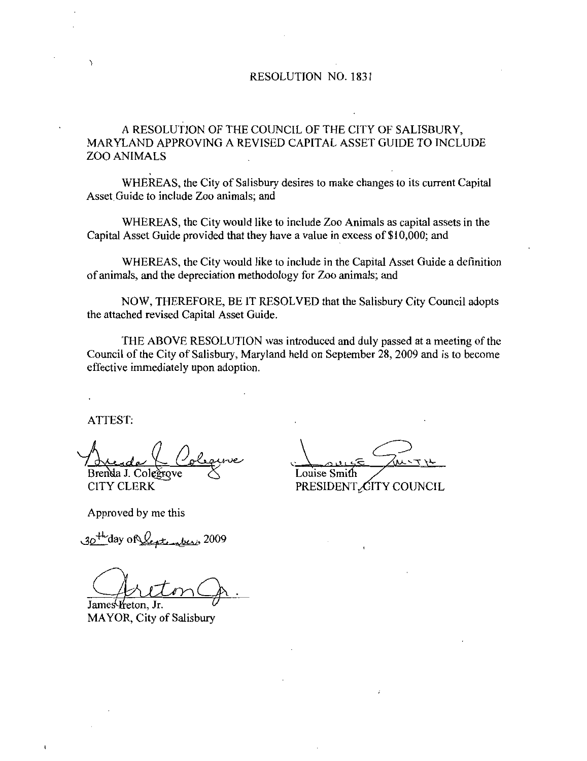#### RESOLUTION NO 1831

A RESOLUTION OF THE COUNCIL OF THE CITY OF SALISBURY MARYLAND APPROVING A REVISED CAPITAL ASSET GUIDE TO INCLUDE ZOO ANIMALS

WHEREAS, the City of Salisbury desires to make changes to its current Capital Asset Guide to include Zoo animals; and

WHEREAS, the City would like to include Zoo Animals as capital assets in the Capital Asset Guide provided that they have a value in excess of  $$10,000$ ; and

WHEREAS, the City would like to include in the Capital Asset Guide a definition of animals, and the depreciation methodology for Zoo animals; and

NOW, THEREFORE, BE IT RESOLVED that the Salisbury City Council adopts the attached revised Capital Asset Guide

THE ABOVE RESOLUTION was introduced and duly passed at <sup>a</sup> meeting of the Council of the City of Salisbury, Maryland held on September 28, 2009 and is to become effective immediately upon adoption

ATTEST

ne Brenda J. Colegrove

CITY CLERK

LE JUITH Louise Smith

PRESIDENT CITY COUNCIL

Approved by me this

CITY CLERK<br>Approved by me this<br> $30^{4k}$ day of Leptenberry, 2009

James *H*eton, Jr. MAYOR, City of Salisbury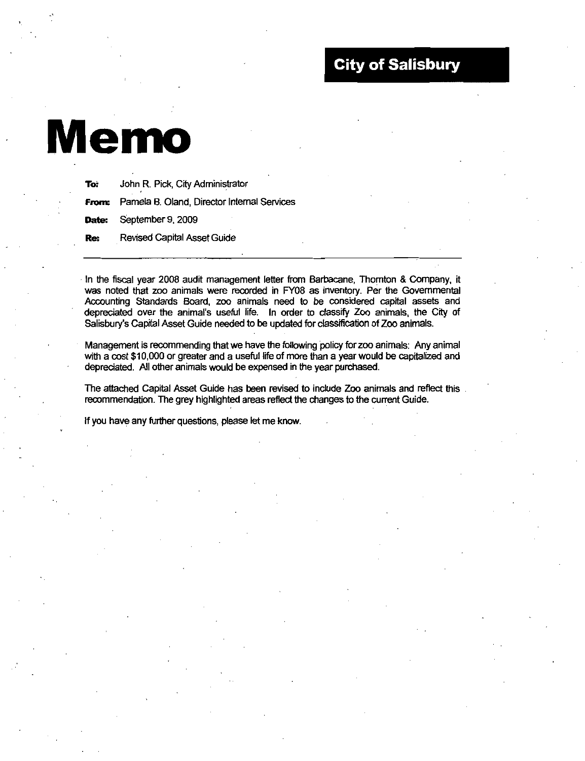## City of Salisbury

# Memo

| To:        | John R. Pick, City Administrator                         |
|------------|----------------------------------------------------------|
|            | <b>From:</b> Pamela B. Oland, Director Internal Services |
|            | Date: September 9, 2009                                  |
| <b>Re:</b> | <b>Revised Capital Asset Guide</b>                       |

In the fiscal year 2008 audit management letter from Barbacane, Thornton & Company, it was noted that zoo animals were recorded in FY08 as inventory. Per the Governmental Accounting Standards Board, zoo animals need to be considered capital assets and In the fiscal year 2008 audit management letter from Barbacane, Thornton & Company, it<br>was noted that zoo animals were recorded in FY08 as inventory. Per the Governmental<br>Accounting Standards Board, zoo animals need to be Salisbury's Capital Asset Guide needed to be updated for classification of Zoo animals.

Management is recommending that we have the following policy for zoo animals: Any animal<br>with a cost \$10,000 or greater and a useful life of more than a year would be capitalized and Accounting Standards Board, 200 animals rieed to be considered capital assets and<br>depreciated over the animal's useful life. In order to classify Zoo animals, the City of<br>Salisbury's Capital Asset Guide needed to be update depreciated. All other animals would be expensed in the year purchased.

The attached Capital Asset Guide has been revised to incude Zoo animals and reflect this recommendation. The grey highlighted areas reflect the changes to the current Guide.

If you have any further questions, please let me know.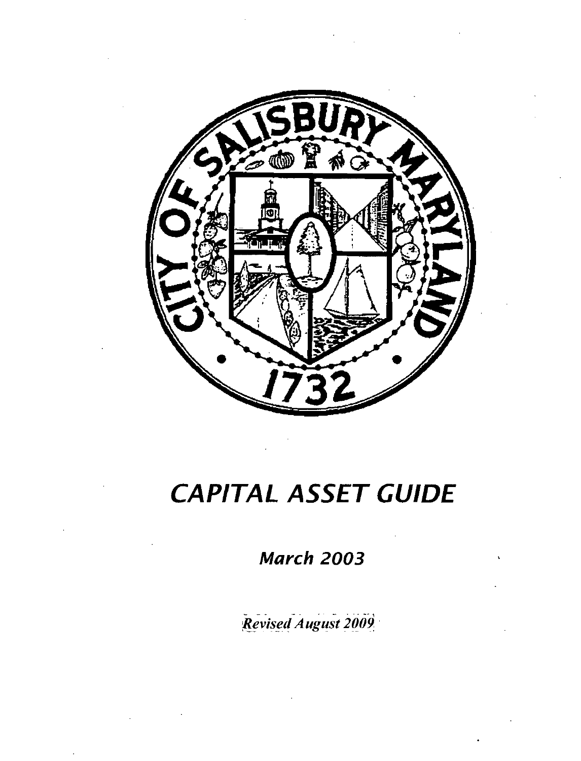

## CAPITAL ASSET GUIDE

March 2003

Revised August 2009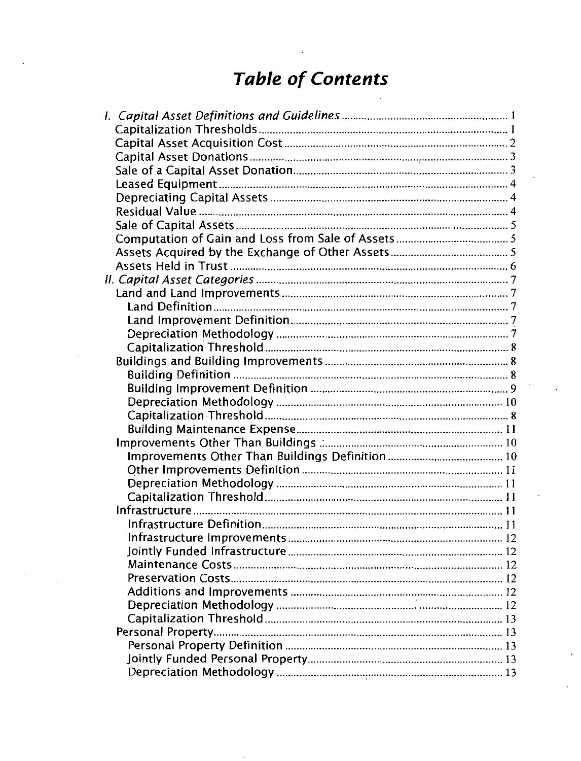## Table of Contents

| <b>Table of Contents</b> |  |
|--------------------------|--|
|                          |  |
|                          |  |
|                          |  |
|                          |  |
|                          |  |
|                          |  |
|                          |  |
|                          |  |
|                          |  |
|                          |  |
|                          |  |
|                          |  |
|                          |  |
|                          |  |
|                          |  |
|                          |  |
|                          |  |
|                          |  |
|                          |  |
|                          |  |
|                          |  |
|                          |  |
|                          |  |
|                          |  |
|                          |  |
|                          |  |
|                          |  |
|                          |  |
|                          |  |
|                          |  |
|                          |  |
|                          |  |
|                          |  |
|                          |  |
|                          |  |
|                          |  |
|                          |  |
|                          |  |
|                          |  |
|                          |  |
|                          |  |
|                          |  |
|                          |  |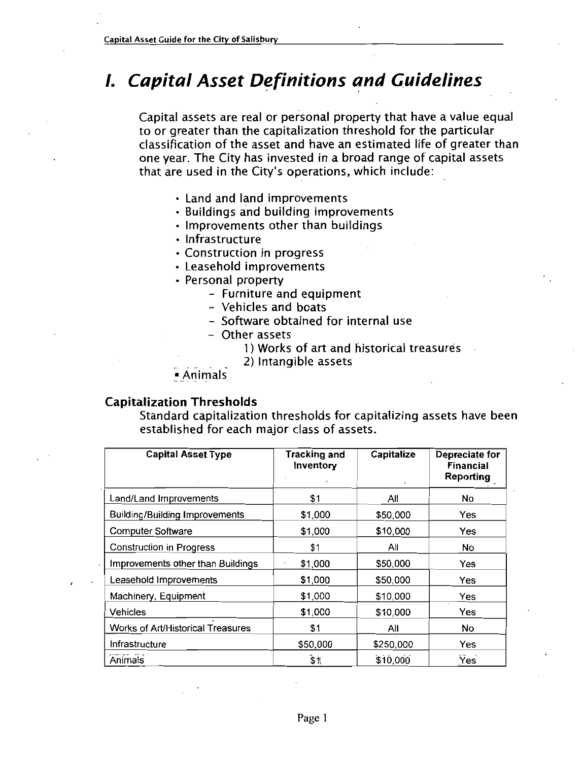## **1. Capital Asset Definitions and Guidelines**

Capital assets are real or personal property that have <sup>a</sup> value equal to or greater than the capitalization threshold for the particular classification of the asset and have an estimated life of greater than one year. The City has invested in a broad range of capital assets to or greater than the capitalization threshold for the classification of the asset and have an estimated life one year. The City has invested in a broad range of c that are used in the City's operations, which include

- Land and land improvements
- Buildings and building improvements
- $\cdot$  Improvements other than buildings
- Infrastructure
- Construction in progress
- Leasehold improvements
- Personal property
	- Furniture and equipment
	- Vehicles and boats
	- Software obtained for internal use
	- Other assets
		- 1 Works of art and historical treasures
		- 2) Intangible assets
- Animals

#### Capitalization Thresholds

Standard capitalization thresholds for capitalizing assets have been established for each major class of assets

| <b>Capital Asset Type</b>             | <b>Tracking and</b><br>Inventory | Capitalize | Depreciate for<br><b>Financial</b><br>Reporting |
|---------------------------------------|----------------------------------|------------|-------------------------------------------------|
| Land/Land Improvements                | \$1                              | All        | No                                              |
| <b>Building/Building Improvements</b> | \$1,000                          | \$50,000   | Yes                                             |
| <b>Computer Software</b>              | \$1,000                          | \$10,000   | Yes                                             |
| <b>Construction in Progress</b>       | \$1                              | All        | No                                              |
| Improvements other than Buildings     | \$1,000                          | \$50,000   | Yes                                             |
| Leasehold Improvements                | \$1,000                          | \$50,000   | Yes                                             |
| Machinery, Equipment                  | \$1,000                          | \$10,000   | Yes                                             |
| <b>Vehicles</b>                       | \$1,000                          | \$10,000   | Yes                                             |
| Works of Art/Historical Treasures     | \$1                              | All        | No                                              |
| Infrastructure                        | \$50,000                         | \$250,000  | Yes                                             |
| Animals                               | \$1                              | \$10,000   | <b>Yes</b>                                      |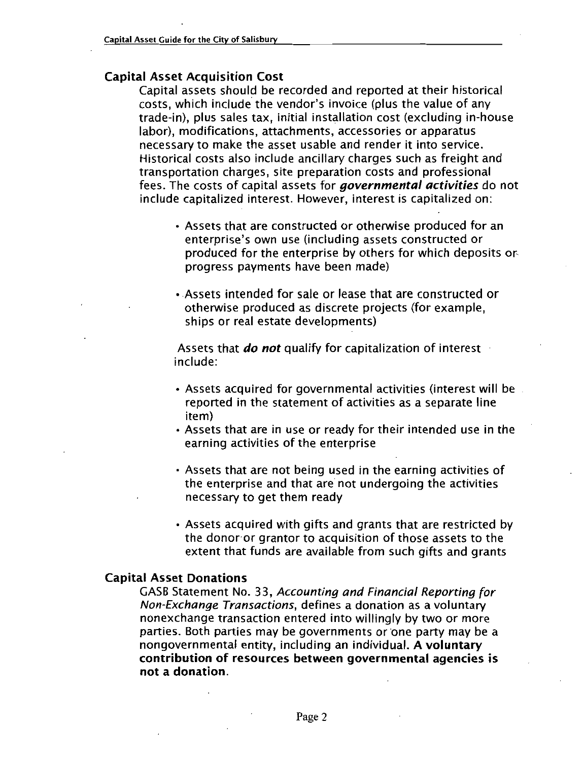#### Capital Asset Acquisition Cost

Capital assets should be recorded and reported at their historical Note that the City of Salisbury<br>
Allect Acquisition Cost<br>
Capital assets should be recorded and reported at their historic<br>
costs, which include the vendor's invoice (plus the value of any<br>
trade-in), plus sales tax, initi al Asset Acquisition Cost<br>Capital assets should be recorded and reported at their historical<br>costs, which include the vendor's invoice (plus the value of any<br>trade-in), plus sales tax, initial installation cost (excluding labor), modifications, attachments, accessories or apparatus necessary to make the asset usable and render it into service Historical costs also include ancillary charges such as freight and transportation charges, site preparation costs and professional fees. The costs of capital assets for *governmental activities* do not include capitalized interest. However, interest is capitalized on: ry to make the asset usable and render it into service.<br>Al costs also include ancillary charges such as freight<br>ration charges, site preparation costs and profession.<br>e costs of capital assets for *governmental activities* 

- Assets that are constructed or otherwise produced for an enterprise's own use (including assets constructed or produced for the enterprise by others for which deposits or progress payments have been made
- Assets intended for sale or lease that are constructed or otherwise produced as discrete projects (for example, ships or real estate developments

Assets that **do not** qualify for capitalization of interest include

- $\cdot$  Assets acquired for governmental activities (interest will be reported in the statement of activities as <sup>a</sup> separate line item
- Assets that are in use or ready for their intended use in the earning activities of the enterprise
- Assets that are not being used in the earning activities of the enterprise and that are not undergoing the activities necessary to get them ready
- Assets acquired with gifts and grants that are restricted by the donor or grantor to acquisition of those assets to the extent that funds are available from such gifts and grants

#### Capital Asset Donations

It Asset Donations<br>GASB Statement No. 33, *Accounting and Financial Reporting for*<br>N*on-Exchange Transaction entered into willingly by two or more* Non-Exchange Transactions, defines a donation as a voluntary nonexchange transaction entered into willingly by two or more parties. Both parties may be governments or one party may be a nongovernmental entity, including an individual. A voluntary contribution of resources between governmental agencies is not <sup>a</sup> donation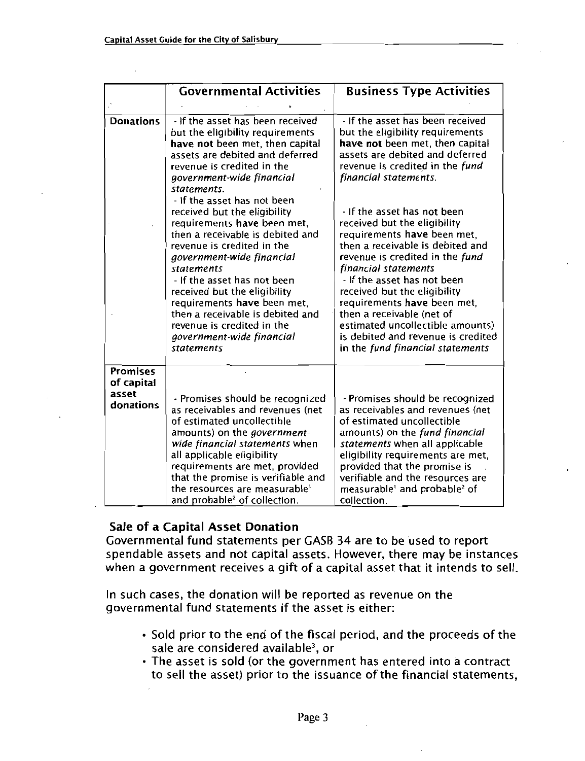|                               | <b>Governmental Activities</b>                                                                                                                                                                                                                                                                                                                                                                                                   | <b>Business Type Activities</b>                                                                                                                                                                                                                                                                                                                                                                                                    |
|-------------------------------|----------------------------------------------------------------------------------------------------------------------------------------------------------------------------------------------------------------------------------------------------------------------------------------------------------------------------------------------------------------------------------------------------------------------------------|------------------------------------------------------------------------------------------------------------------------------------------------------------------------------------------------------------------------------------------------------------------------------------------------------------------------------------------------------------------------------------------------------------------------------------|
|                               |                                                                                                                                                                                                                                                                                                                                                                                                                                  |                                                                                                                                                                                                                                                                                                                                                                                                                                    |
| <b>Donations</b>              | - If the asset has been received<br>but the eligibility requirements<br>have not been met, then capital<br>assets are debited and deferred<br>revenue is credited in the<br>government-wide financial<br>statements.                                                                                                                                                                                                             | - If the asset has been received<br>but the eligibility requirements<br>have not been met, then capital<br>assets are debited and deferred<br>revenue is credited in the fund<br>financial statements.                                                                                                                                                                                                                             |
|                               | - If the asset has not been<br>received but the eligibility<br>requirements have been met,<br>then a receivable is debited and<br>revenue is credited in the<br>government-wide financial<br><b>statements</b><br>- If the asset has not been<br>received but the eligibility<br>requirements have been met,<br>then a receivable is debited and<br>revenue is credited in the<br>government-wide financial<br><i>statements</i> | - If the asset has not been<br>received but the eligibility<br>requirements have been met,<br>then a receivable is debited and<br>revenue is credited in the fund<br>financial statements<br>- If the asset has not been<br>received but the eligibility<br>requirements have been met,<br>then a receivable (net of<br>estimated uncollectible amounts)<br>is debited and revenue is credited<br>in the fund financial statements |
| <b>Promises</b><br>of capital |                                                                                                                                                                                                                                                                                                                                                                                                                                  |                                                                                                                                                                                                                                                                                                                                                                                                                                    |
| asset<br>donations            | - Promises should be recognized<br>as receivables and revenues (net<br>of estimated uncollectible<br>amounts) on the <i>government</i> -<br>wide financial statements when<br>all applicable eligibility<br>requirements are met, provided<br>that the promise is verifiable and<br>the resources are measurable <sup>1</sup><br>and probable <sup>2</sup> of collection.                                                        | - Promises should be recognized<br>as receivables and revenues (net<br>of estimated uncollectible<br>amounts) on the fund financial<br>statements when all applicable<br>eligibility requirements are met,<br>provided that the promise is<br>verifiable and the resources are<br>measurable' and probable <sup>2</sup> of<br>collection.                                                                                          |

#### Sale of a Capital Asset Donation

Governmental fund statements per GASB <sup>34</sup> are to be used to report spendable assets and not capital assets. However, there may be instances when <sup>a</sup> government receives <sup>a</sup> gift of <sup>a</sup> capital asset that it intends to sell

In such cases, the donation will be reported as revenue on the governmental fund statements if the asset is either

- $\cdot$  Sold prior to the end of the fiscal period, and the proceeds of the sale are considered available<sup>3</sup>, or
- The asset is sold (or the government has entered into a contract to sell the asset) prior to the issuance of the financial statements,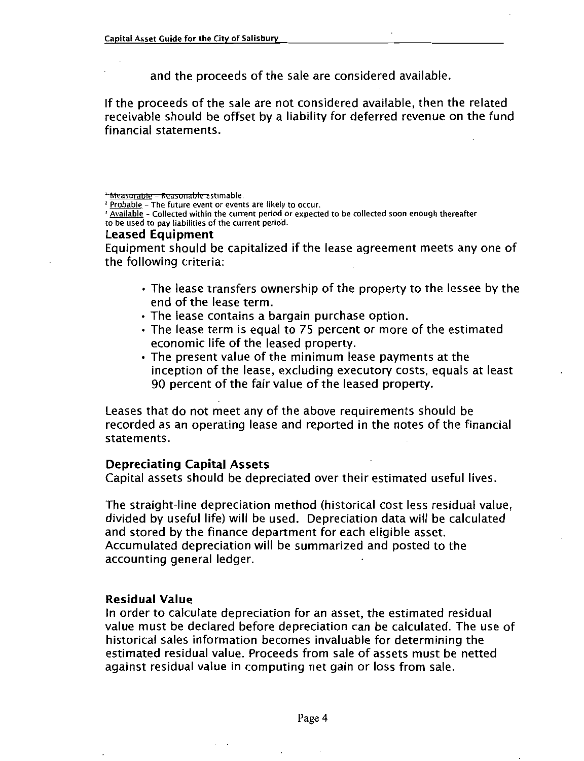and the proceeds of the sale are considered available

If the proceeds of the sale are not considered available, then the related receivable should be offset by <sup>a</sup> liability for deferred revenue on the fund financial statements

<sup>3</sup> Available - Collected within the current period or expected to be collected soon enough thereafter to be used to pay liabilities of the current period

#### Leased Equipment

Equipment should be capitalized ifthe lease agreement meets any one of the following criteria

- The lease transfers ownership of the property to the lessee by the end of the lease term
- The lease contains a bargain purchase option.
- The lease term is equal to <sup>75</sup> percent or more of the estimated economic life of the leased property
- The present value of the minimum lease payments at the inception of the lease, excluding executory costs, equals at least <sup>90</sup> percent of the fair value of the leased property

Leases that do not meet any of the above requirements should be recorded as an operating lease and reported in the notes of the financial statements

#### Depreciating Capital Assets

Capital assets should be depreciated over their estimated useful lives

The straight-line depreciation method (historical cost less residual value, divided by useful life) will be used. Depreciation data will be calculated and stored by the finance department for each eligible asset Accumulated depreciation will be summarized and posted to the accounting general ledger

#### Residual Value

In order to calculate depreciation for an asset, the estimated residual value must be declared before depreciation can be calculated. The use of historical sales information becomes invaluable for determining the estimated residual value. Proceeds from sale of assets must be netted against residual value in computing net gain or loss from sale

<sup>\*</sup> Measurable = Reasonable estimable.

<sup>&</sup>lt;sup>2</sup> Probable - The future event or events are likely to occur.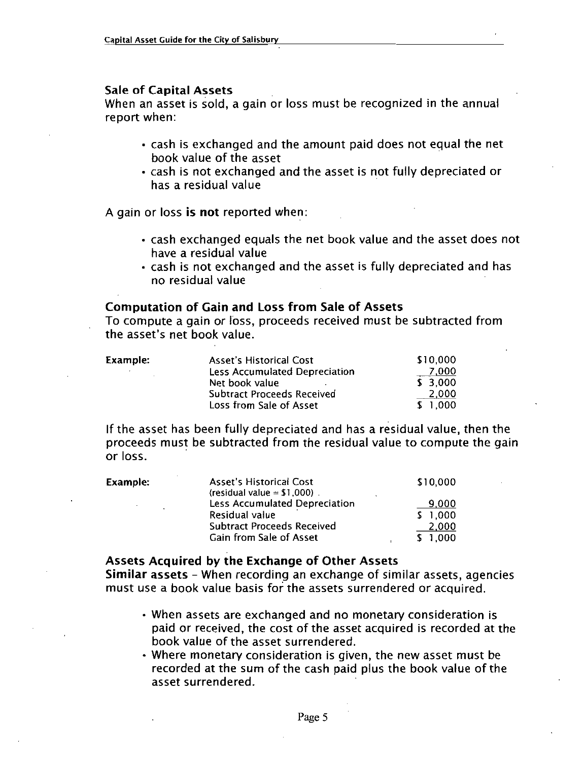#### Sale of Capital Assets

When an asset is sold, a gain or loss must be recognized in the annual report when

- cash is exchanged and the amount paid does not equal the net book value of the asset
- cash is not exchanged and the asset is not fully depreciated or has a residual value

A gain or loss is not reported when:

- cash exchanged equals the net book value and the asset does not have a residual value
- cash is not exchanged and the asset is fully depreciated and has no residual value

### Computation of Gain and Loss from Sale of Assets

no residual value<br> **Computation of Gain and**<br>
To compute a gain or loss,<br>
the asset's net book value.

| the asset's net book value. | Computation of Gain and Loss from Sale of Assets<br>To compute a gain or loss, proceeds received must be subtracted from                                 |                                                  |
|-----------------------------|----------------------------------------------------------------------------------------------------------------------------------------------------------|--------------------------------------------------|
| Example:                    | <b>Asset's Historical Cost</b><br><b>Less Accumulated Depreciation</b><br>Net book value<br><b>Subtract Proceeds Received</b><br>Loss from Sale of Asset | \$10,000<br>7,000<br>\$3,000<br>2,000<br>\$1,000 |

If the asset has been fully depreciated and has a residual value, then the proceeds must be subtracted from the residual value to compute the gain<br>
or loss.<br>
Example: Asset's Historical Cost 510,000<br>
(residual value = \$1,000)<br>
(residual value = \$1,000) or loss

| Example: | <b>Asset's Historical Cost</b><br>(residual value = $$1,000$ ).                                                 | \$10,000                           |
|----------|-----------------------------------------------------------------------------------------------------------------|------------------------------------|
|          | Less Accumulated Depreciation<br>Residual value<br><b>Subtract Proceeds Received</b><br>Gain from Sale of Asset | 9.000<br>1,000<br>2,000<br>\$1.000 |

#### Assets Acquired by the Exchange of Other Assets

Similar assets - When recording an exchange of similar assets, agencies must use <sup>a</sup> book value basis for the assets surrendered or acquired

- When assets are exchanged and no monetary consideration is paid or received, the cost of the asset acquired is recorded at the book value of the asset surrendered
- $\cdot$  Where monetary consideration is given, the new asset must be recorded at the sum of the cash paid plus the book value of the asset surrendered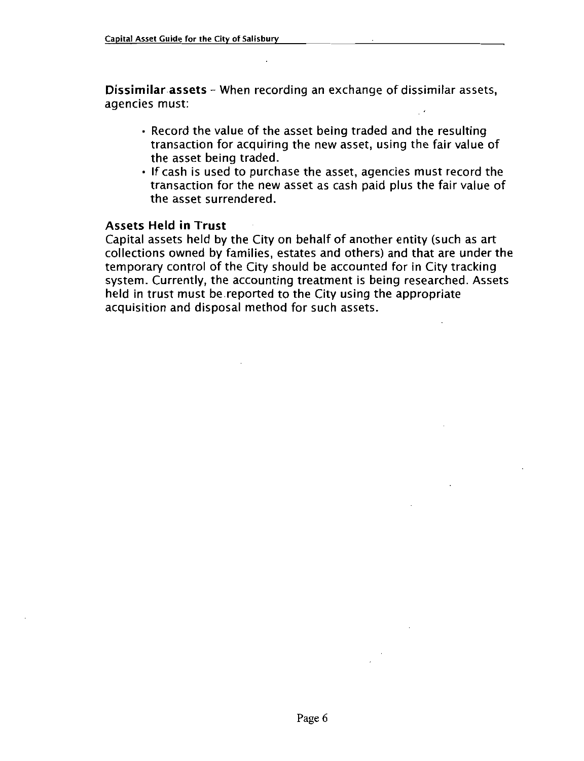Dissimilar assets - When recording an exchange of dissimilar assets, agencies must

- Record the value of the asset being traded and the resulting transaction for acquiring the new asset, using the fair value of the asset being traded
- If cash is used to purchase the asset, agencies must record the transaction for the new asset as cash paid plus the fair value of the asset surrendered

#### Assets Held in Trust

Capital assets held by the City on behalf of another entity (such as art collections owned by families, estates and others) and that are under the conections owned by families, estates and others) and that are under<br>temporary control of the City should be accounted for in City tracking<br>system. Currently, the accounting treatment is being researched. Asse<br>held in trus system. Currently, the accounting treatment is being researched. Assets held in trust must be reported to the City using the appropriate acquisition and disposal method for such assets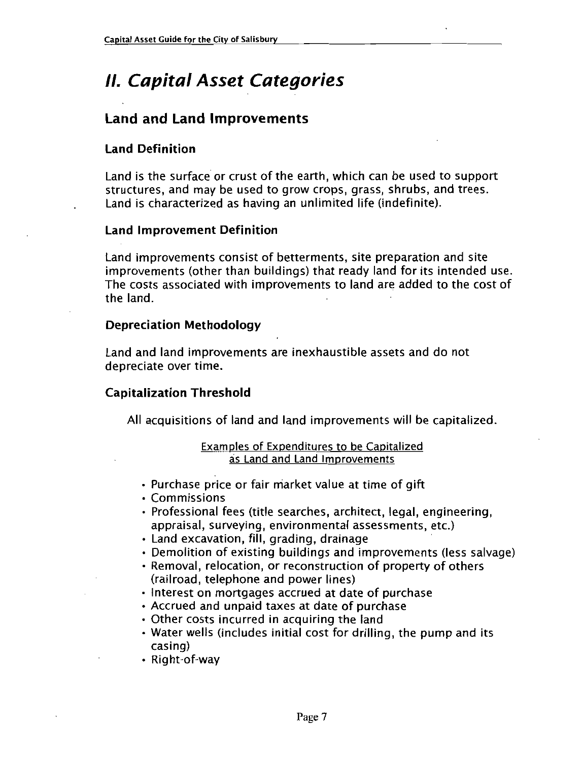## **II. Capital Asset Categories**

#### Land and Land Improvements

#### Land Definition

Land is the surface or crust of the earth, which can be used to support structures, and may be used to grow crops, grass, shrubs, and trees. Land is characterized as having an unlimited life (indefinite).

#### Land Improvement Definition

Land improvements consist of betterments site preparation and site improvements (other than buildings) that ready land for its intended use. The costs associated with improvements to land are added to the cost of the land

#### Depreciation Methodology

Land and land improvements are inexhaustible assets and do not depreciate over time

#### Capitalization Threshold

All acquisitions of land and land improvements will be capitalized

#### Examples of Expenditures to be Capitalized as Land and Land Improvements

- Purchase price or fair market value at time of gift
- Commissions
- Professional fees (title searches, architect, legal, engineering, appraisal, surveying, environmental assessments, etc.)
- · Land excavation, fill, grading, drainage
- Demolition of existing buildings and improvements (less salvage)
- Removal, relocation, or reconstruction of property of others (railroad, telephone and power lines)
- $\cdot$  Interest on mortgages accrued at date of purchase
- Accrued and unpaid taxes at date of purchase
- Other costs incurred in acquiring the land
- Water wells (includes initial cost for drilling, the pump and its casing)<br>Right-of-way • Accrued and<br>Other costs i<br>Water wells (<br>casing)<br>Right-of-way
-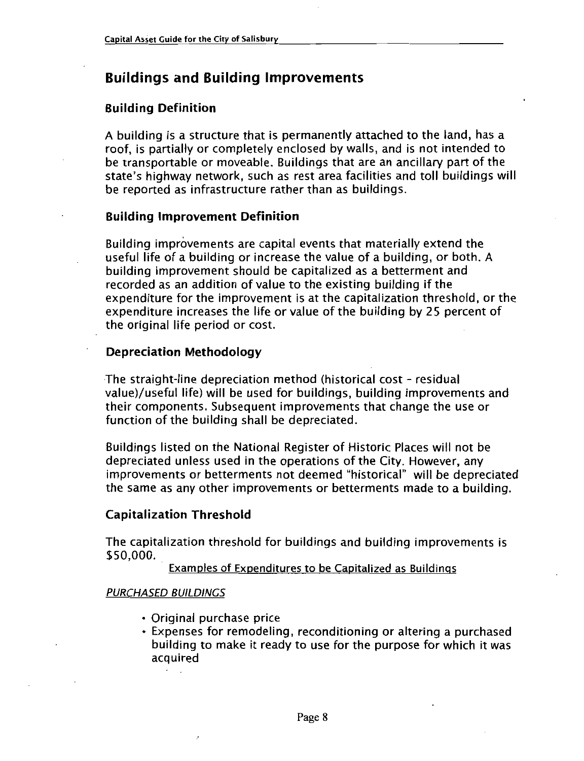#### Buildings and Building Improvements

#### Building Definition

A building is a structure that is permanently attached to the land, has a roof, is partially or completely enclosed by walls, and is not intended to be transportable or moveable. Buildings that are an ancillary part of the state's highway network, such as rest area facilities and toll buildings will be reported as infrastructure rather than as buildings

#### Building Improvement Definition

Building improvements are capital events that materially extend the useful life of a building or increase the value of a building, or both. A building improvement should be capitalized as a betterment and recorded as an addition of value to the existing building if the expenditure for the improvement is at the capitalization threshold, or the expenditure increases the life or value of the building by <sup>25</sup> percent of the original life period or cost

#### Depreciation Methodology

The straight-line depreciation method (historical cost - residual value)/useful life) will be used for buildings, building improvements and their components. Subsequent improvements that change the use or function of the building shall be depreciated

Buildings listed on the National Register of Historic Places will not be depreciated unless used in the operations of the City. However, any improvements or betterments not deemed "historical" will be depreciated the same as any other improvements or betterments made to <sup>a</sup> building

#### Capitalization Threshold

The capitalization threshold for buildings and building improvements is \$50,000.

Examples of Expenditures to be Capitalized as Buildings

#### PURCHASED BUILDINGS

- Original purchase price
- Expenses for remodeling, reconditioning or altering a purchased building to make it ready to use for the purpose for which it was acquired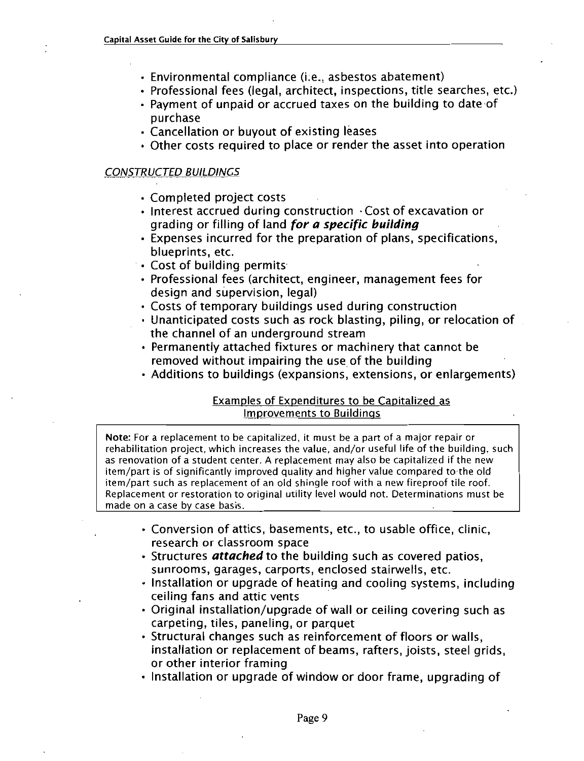- 
- et Guide for the City of Salisbury<br>Environmental compliance (i.e., asbestos abatement)<br>Professional fees (legal, architect, inspections, title s<br>Payment of unnaid or accrued taxes on the building • Environmental compliance (i.e., asbestos abatement)<br>• Professional fees (legal, architect, inspections, title searches, etc.)
- Payment of unpaid or accrued taxes on the building to date of purchase
- Cancellation or buyout of existing leases
- Other costs required to place or render the asset into operation

#### CONSTRUCTED BUILDINGS

- Completed project costs
- $\cdot$  Interest accrued during construction  $\cdot$  Cost of excavation or grading or filling of land for a specific building
- Expenses incurred for the preparation of plans, specifications, blueprints, etc.
- Cost of building permits
- Professional fees (architect, engineer, management fees for design and supervision, legal)
- Costs of temporary buildings used during construction
- Unanticipated costs such as rock blasting, piling, or relocation of the channel of an underground stream
- Permanently attached fixtures or machinery that cannot be removed without impairing the use of the building
- Additions to buildings (expansions, extensions, or enlargements)

#### Examples of Expenditures to be Capitalized as Improvements to Buildings

Note: For a replacement to be capitalized, it must be a part of a major repair or rehabilitation project, which increases the value, and/or useful life of the building, such as renovation of a student center. A replacement may also be capitalized if the new item/part is of significantly improved quality and higher value compared to the old item/part such as replacement of an old shingle roof with a new fireproof tile roof. Replacement or restoration to original utility level would not Determinations must be made on a case by case basis

- Conversion of attics, basements, etc., to usable office, clinic, research or classroom space
- Structures *attached* to the building such as covered patios, sunrooms, garages, carports, enclosed stairwells, etc.
- Installation or upgrade of heating and cooling systems, including ceiling fans and attic vents
- Original installation/upgrade of wall or ceiling covering such as carpeting, tiles, paneling, or parquet
- Structural changes such as reinforcement of floors or walls. installation or replacement of beams, rafters, joists, steel grids, or other interior framing
- Installation or upgrade of window or door frame, upgrading of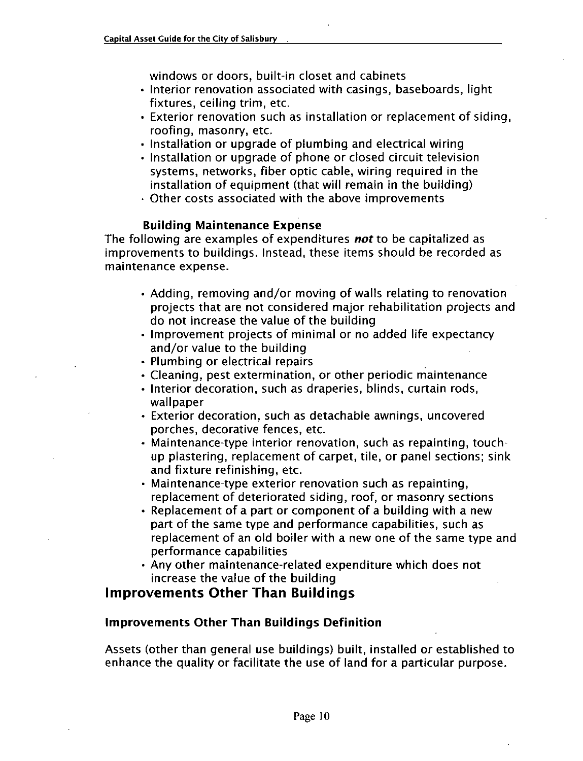windows or doors, built-in closet and cabinets

- Interior renovation associated with casings, baseboards, light fixtures. ceiling trim. etc.
- Exterior renovation such as installation or replacement of siding roofing, masonry, etc.
- Installation or upgrade of plumbing and electrical wiring
- $\cdot$  Installation or upgrade of phone or closed circuit television systems, networks, fiber optic cable, wiring required in the installation of equipment (that will remain in the building)
- Other costs associated with the above improvements

#### Building Maintenance Expense

The following are examples of expenditures not to be capitalized as improvements to buildings. Instead, these items should be recorded as maintenance expense

- $\cdot$  Adding, removing and/or moving of walls relating to renovation projects that are not considered major rehabilitation projects and do not increase the value of the building
- Improvement projects of minimal or no added life expectancy and/or value to the building
- Plumbing or electrical repairs
- Cleaning, pest extermination, or other periodic maintenance
- Interior decoration, such as draperies, blinds, curtain rods, wallpaper
- Exterior decoration, such as detachable awnings, uncovered porches, decorative fences, etc.
- Maintenance-type interior renovation, such as repainting, touchup plastering, replacement of carpet, tile, or panel sections; sink<br>and fixture refinishing, etc.<br>Maintenance-type exterior renovation such as repainting,<br>replacement of deteriorated siding, roof, or masonry sections and fixture refinishing, etc.<br>• Maintenance-type exterior renovation such as repainting.
- replacement of deteriorated siding, roof, or masonry sections
- Replacement of a part or component of <sup>a</sup> building with <sup>a</sup> new part of the same type and performance capabilities, such as replacement of an old boiler with <sup>a</sup> new one of the same type and performance capabilities
- $\cdot$  Any other maintenance-related expenditure which does not increase the value of the building

#### Improvements Other Than Buildings

#### Improvements Other Than Buildings Definition

Assets (other than general use buildings) built, installed or established to enhance the quality or facilitate the use of land for <sup>a</sup> particular purpose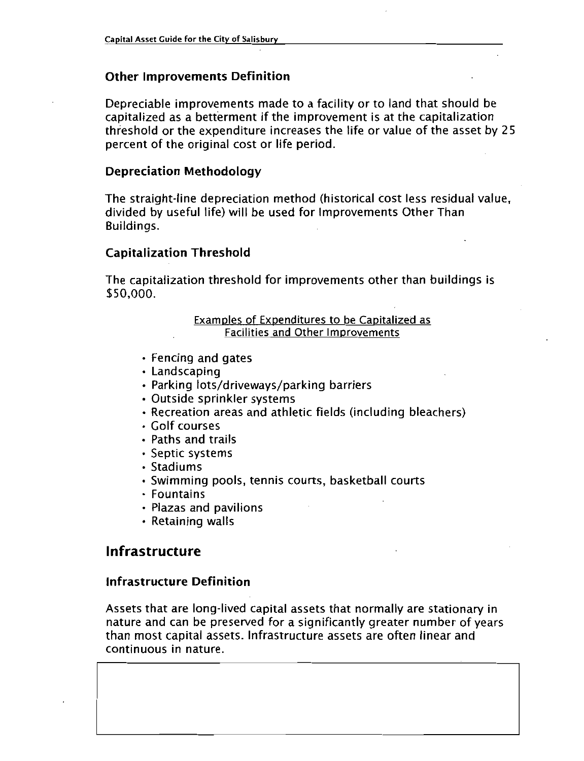#### Other Improvements Definition

Depreciable improvements made to <sup>a</sup> facility or to land that should be capitalized as a betterment if the improvement is at the capitalization threshold or the expenditure increases the life or value of the asset by 25 percent of the original cost or life period

#### Depreciation Methodology

The straight-line depreciation method (historical cost less residual value, divided by useful life) will be used for Improvements Other Than Buildings

#### Capitalization Threshold

The capitalization threshold for improvements other than buildings is<br>\$50,000.

#### Examples of Expenditures to be Capitalized as Facilities and Other Improvements

- Fencing and gates
- Landscaping
- Parking lots/driveways/parking barriers
- Outside sprinkler systems
- $\cdot$  Recreation areas and athletic fields (including bleachers)
- Golf courses
- Paths and trails
- Septic systems
- Stadiums
- $\cdot$  Swimming pools, tennis courts, basketball courts
- Fountains
- Plazas and pavilions
- Retaining walls

#### Infrastructure

#### Infrastructure Definition

Assets that are long-lived capital assets that normally are stationary in nature and can be preserved for a significantly greater number of years than most capital assets Infrastructure assets are often linear and continuous in nature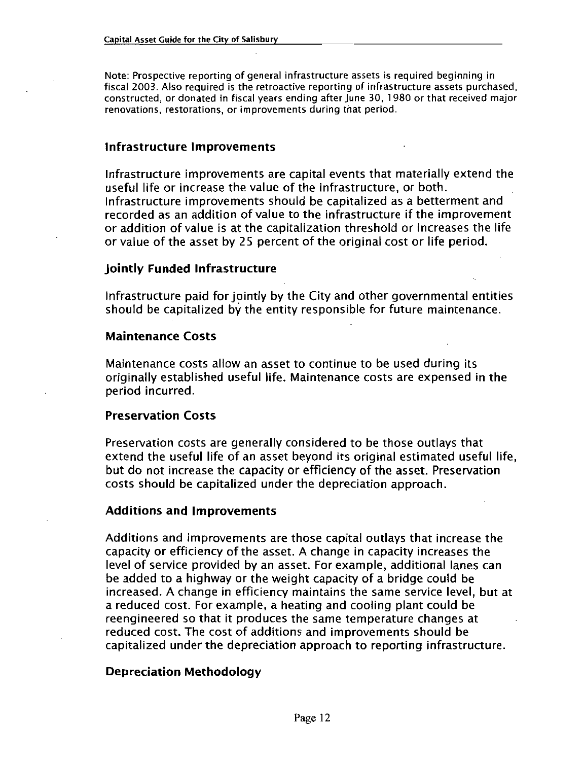Note: Prospective reporting of general infrastructure assets is required beginning in fiscal 2003. Also required is the retroactive reporting of infrastructure assets purchased, constructed, or donated in fiscal years ending after June 30, 1980 or that received major renovations, restorations, or improvements during that period.

#### Infrastructure Improvements

Infrastructure improvements are capital events that materially extend the useful life or increase the value of the infrastructure, or both. Infrastructure improvements should be capitalized as <sup>a</sup> betterment and recorded as an addition of value to the infrastructure if the improvement or addition of value is at the capitalization threshold or increases the life or value of the asset by 25 percent of the original cost or life period

#### Jointly Funded Infrastructure

Infrastructure paid for jointly by the City and other governmental entities should be capitalized by the entity responsible for future maintenance

#### Maintenance Costs

Maintenance costs allow an asset to continue to be used during its originally established useful life. Maintenance costs are expensed in the period incurred

#### Preservation Costs

Preservation costs are generally considered to be those outlays that extend the useful life of an asset beyond its original estimated useful life but do not increase the capacity or efficiency of the asset. Preservation costs should be capitalized under the depreciation approach

#### Additions and Improvements

Additions and improvements are those capital outlays that increase the capacity or efficiency of the asset <sup>A</sup> change in capacity increases the level of service provided by an asset. For example, additional lanes can be added to <sup>a</sup> highway or the weight capacity of <sup>a</sup> bridge could be increased. A change in efficiency maintains the same service level, but at a reduced cost. For example, a heating and cooling plant could be reengineered so that it produces the same temperature changes at reduced cost The cost of additions and improvements should be capitalized under the depreciation approach to reporting infrastructure

#### Depreciation Methodology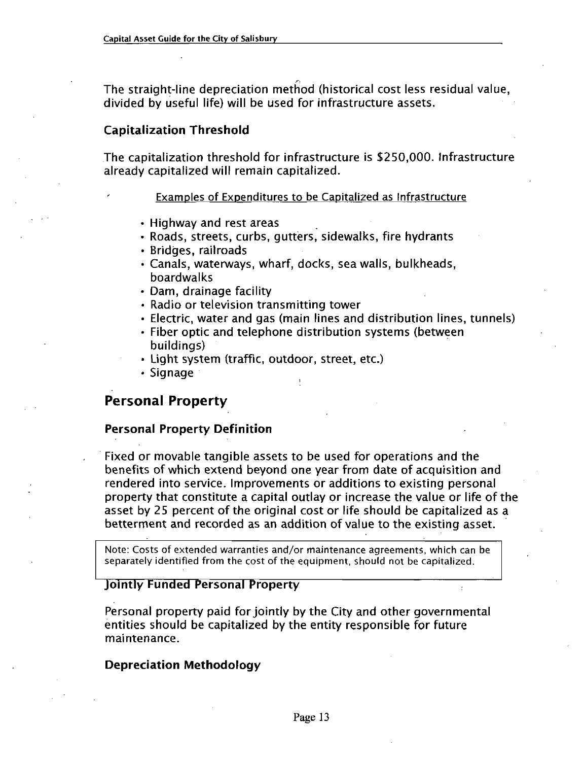The straight-line depreciation method (historical cost less residual value, divided by useful life) will be used for infrastructure assets.

#### Capitalization Threshold

The capitalization threshold for infrastructure is \$250,000. Infrastructure already capitalized will remain capitalized

#### Examples of Expenditures to be Capitalized as Infrastructure

- Highway and rest areas
- Roads, streets, curbs, gutters, sidewalks, fire hydrants
- · Bridges, railroads
- Canals, waterways, wharf, docks, sea walls, bulkheads, boardwalks
- Dam, drainage facility
- Radio or television transmitting tower
- Electric, water and gas (main lines and distribution lines, tunnels)
- Fiber optic and telephone distribution systems (between buildings)
- Light system (traffic, outdoor, street, etc.)
- Signage

#### Personal Property

#### Personal Property Definition

Fixed or movable tangible assets to be used for operations and the benefits of which extend beyond one year from date of acquisition and rendered into service. Improvements or additions to existing personal property that constitute <sup>a</sup> capital outlay or increase the value or life of the asset by 25 percent of the original cost or life should be capitalized as <sup>a</sup> betterment and recorded as an addition of value to the existing asset

Note: Costs of extended warranties and/or maintenance agreements, which can be separately identified from the cost of the equipment, should not be capitalized.

#### Jointly Funded Personal Property

Personal property paid for jointly by the City and other governmental entities should be capitalized by the entity responsible for future maintenance

#### Depreciation Methodology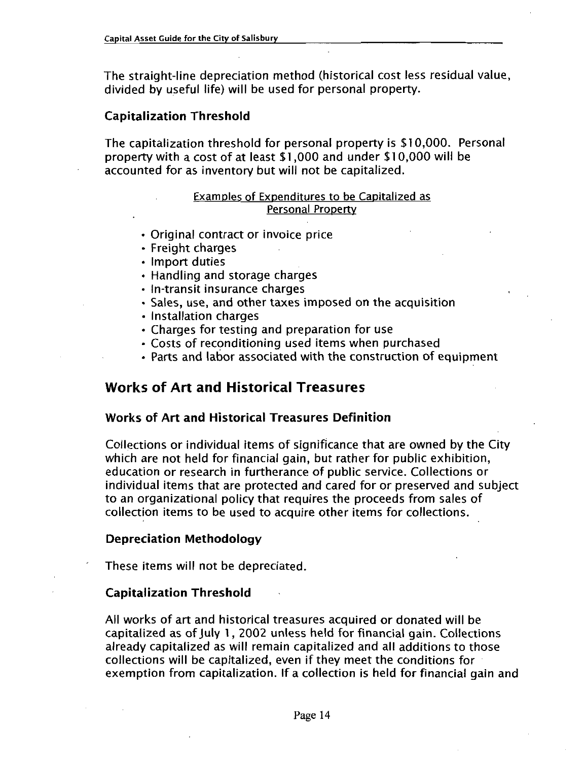The straight-line depreciation method (historical cost less residual value, divided by useful life) will be used for personal property.

#### Capitalization Threshold

The capitalization threshold for personal property is \$10,000. Personal property with a cost of at least  $$1,000$  and under  $$10,000$  will be accounted for as inventory but will not be capitalized

#### Examples of Expenditures to be Capitalized as Personal Property

- Original contract or invoice price
- Freight charges
- Import duties
- Handling and storage charges Freight charges<br>Import duties<br>Handling and storage charg<br>in-transit insurance charges<br>Sales, use, and other taxes
- 
- Sales, use, and other taxes imposed on the acquisition
- Installation charges
- Charges for testing and preparation for use
- Costs of reconditioning used items when purchased
- Parts and labor associated with the construction of equipment

#### Works of Art and Historical Treasures

#### Works of Art and Historical Treasures Definition

Collections or individual items of significance that are owned by the City which are not held for financial gain, but rather for public exhibition, education or research in furtherance of public service. Collections or individual items that are protected and cared for or preserved and subject to an organizational policy that requires the proceeds from sales of collection items to be used to acquire other items for collections

#### Depreciation Methodology

These items will not be depreciated

#### Capitalization Threshold

All works of art and historical treasures acquired or donated will be capitalized as of July 1, 2002 unless held for financial gain. Collections already capitalized as will remain capitalized and all additions to those collections will be capitalized, even if they meet the conditions for exemption from capitalization. If a collection is held for financial gain and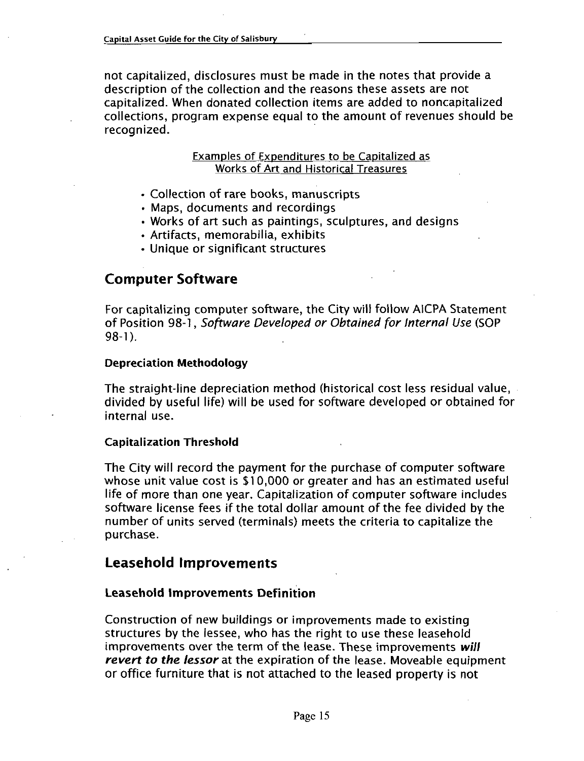not capitalized, disclosures must be made in the notes that provide a description of the collection and the reasons these assets are not capitalized. When donated collection items are added to noncapitalized collections, program expense equal to the amount of revenues should be recognized.

#### Examples of Expenditures to be Capitalized as Works of Art and Historical Treasures

- Collection of rare books, manuscripts
- Maps, documents and recordings
- Works of art such as paintings, sculptures, and designs
- Artifacts, memorabilia, exhibits
- Unique or significant structures

#### Computer Software

For capitalizing computer software, the City will follow AICPA Statement For capitalizing computer software, the City will follow AICPA Statemen<br>of Position 98-1, Software Developed or Obtained for Internal Use (SOP<br>98-1). For<br>of P<br>98-1

#### Depreciation Methodology

The straight-line depreciation method (historical cost less residual value, divided by useful life) will be used for software developed or obtained for internal use

#### Capitalization Threshold

The City will record the payment for the purchase of computer software whose unit value cost is \$10,000 or greater and has an estimated useful life of more than one year. Capitalization of computer software includes software license fees if the total dollar amount of the fee divided by the number of units served (terminals) meets the criteria to capitalize the purchase

#### Leasehold Improvements

#### Leasehold Improvements Definition

Construction of new buildings or improvements made to existing structures by the lessee, who has the right to use these leasehold improvements over the term of the lease. These improvements will revert to the lessor at the expiration of the lease. Moveable equipment or office furniture that is not attached to the leased property is not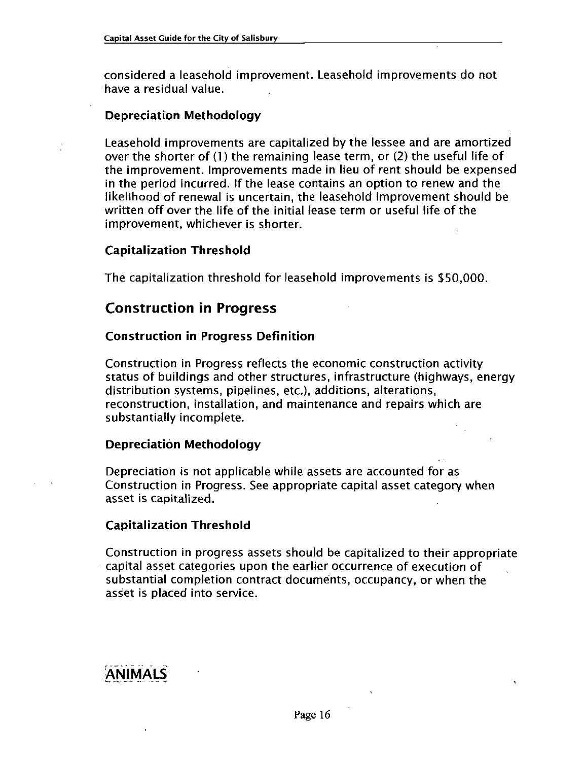considered a leasehold improvement. Leasehold improvements do not have a residual value

#### Depreciation Methodology

Leasehold improvements are capitalized by the lessee and are amortized over the shorter of  $(1)$  the remaining lease term, or  $(2)$  the useful life of the improvement. Improvements made in lieu of rent should be expensed in the period incurred. If the lease contains an option to renew and the likelihood of renewal is uncertain, the leasehold improvement should be written off over the life of the initial lease term or useful life of the improvement, whichever is shorter.

#### Capitalization Threshold

The capitalization threshold for leasehold improvements is \$50,000.

#### Construction in Progress

#### Construction in Progress Definition

Construction in Progress reflects the economic construction activity status of buildings and other structures, infrastructure (highways, energy distribution systems, pipelines, etc.), additions, alterations. reconstruction, installation, and maintenance and repairs which are substantially incomplete

#### Depreciation Methodology

Depreciation is not applicable while assets are accounted for as Construction in Progress. See appropriate capital asset category when asset is capitalized

#### Capitalization Threshold

Construction in progress assets should be capitalized to their appropriate capital asset categories upon the earlier occurrence of execution of substantial completion contract documents, occupancy, or when the asset is placed into service

## ANIMALS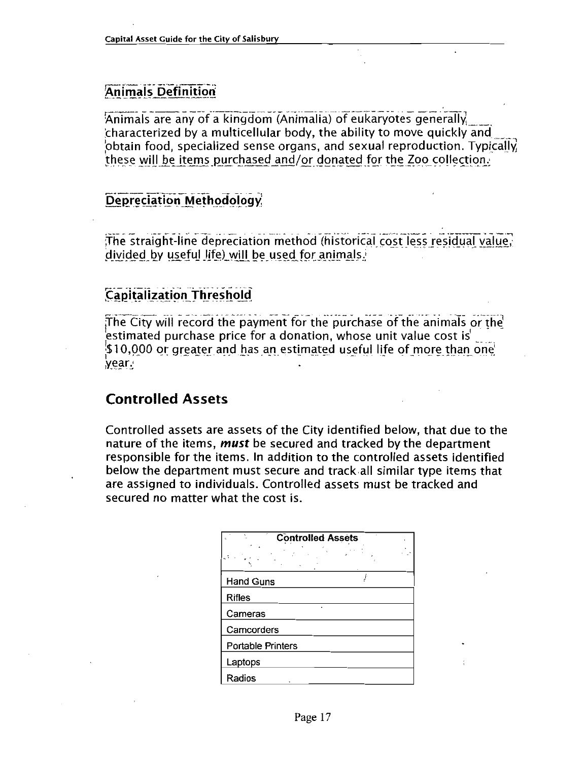#### **Animals Definition**

Animals are any of a kingdom (Animalia) of eukaryotes generally characterized by <sup>a</sup> multicellular body the ability to move quickly and  $\beta$ btain food, specialized sense organs, and sexual reproduction. Typically characterized by a multicellular body, the ability to move quickly and<br>obtain food, specialized sense organs, and sexual reproduction. Typi<br>these will be items purchased and/or donated for the Zoo collection.<br>.

#### Depreciation Methodology

The straight-line depreciation method (historical cost less residual value,<br>divided by useful life) will be used for animals.

#### **Capitalization Threshold**

The City will record the payment for the estimated purchase price for <sup>a</sup> donation whose unit value cost is Capitalization Threshold<br>The City will record the payment for the<br>estimated purchase price for a donation<br>\$10,000 or greater and has an estimated<br>year Year purchase of the animals or the<br>, whose unit value cost is<br>d useful life of more than one

#### Controlled Assets

Controlled assets are assets of the City identified below, that due to the nature of the items, *must* be secured and tracked by the department responsible for the items. In addition to the controlled assets identified below the department must secure and track all similar type items that are assigned to individuals Controlled assets must be tracked and secured no matter what the cost is

| <b>Controlled Assets</b> |  |
|--------------------------|--|
|                          |  |
| <b>Hand Guns</b>         |  |
| <b>Rifles</b>            |  |
| Cameras                  |  |
| Camcorders               |  |
| <b>Portable Printers</b> |  |
| Laptops                  |  |
| Radios                   |  |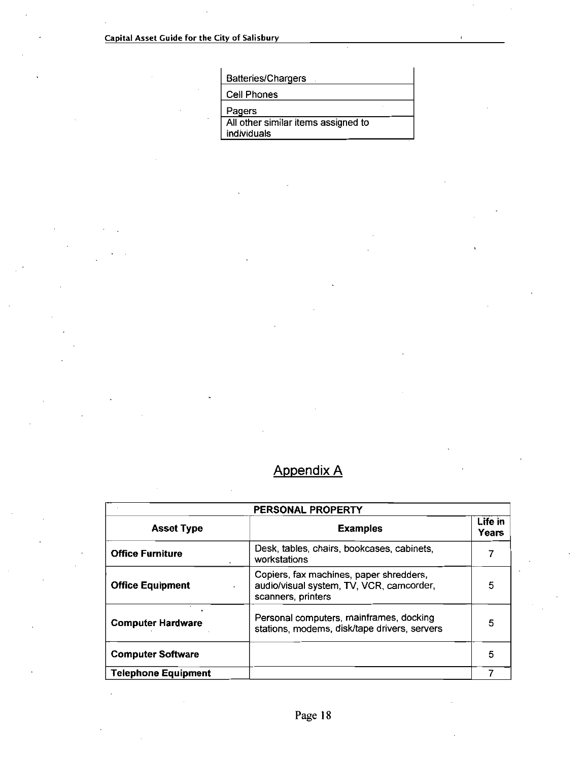**Batteries/Chargers** 

Cell Phones

Pagers<br>All other similar items assigned to<br>individuals

### Appendix A

| PERSONAL PROPERTY          |                                                                                                           |                  |  |
|----------------------------|-----------------------------------------------------------------------------------------------------------|------------------|--|
| <b>Asset Type</b>          | <b>Examples</b>                                                                                           | Life in<br>Years |  |
| <b>Office Furniture</b>    | Desk, tables, chairs, bookcases, cabinets,<br>workstations                                                | 7                |  |
| <b>Office Equipment</b>    | Copiers, fax machines, paper shredders,<br>audio/visual system, TV, VCR, camcorder,<br>scanners, printers | 5                |  |
| <b>Computer Hardware</b>   | Personal computers, mainframes, docking<br>stations, modems, disk/tape drivers, servers                   | 5                |  |
| <b>Computer Software</b>   |                                                                                                           | 5                |  |
| <b>Telephone Equipment</b> |                                                                                                           |                  |  |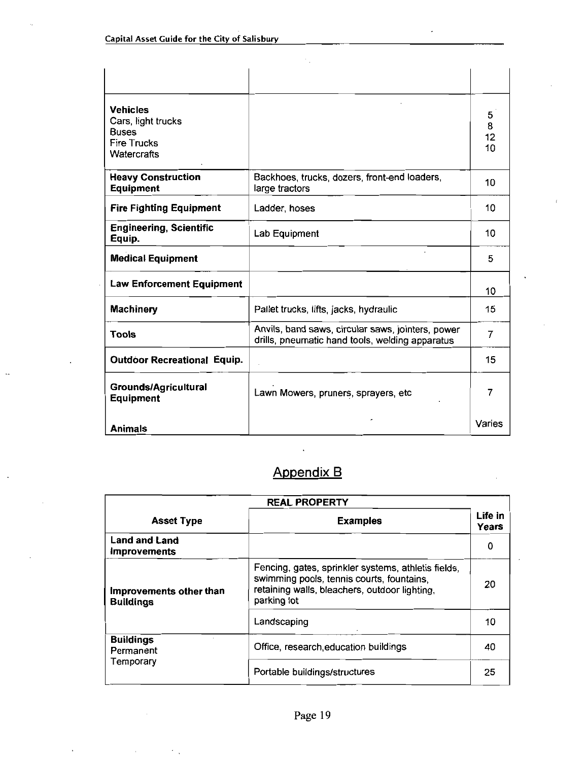| <b>Vehicles</b><br>Cars, light trucks<br><b>Buses</b><br><b>Fire Trucks</b><br>Watercrafts |                                                                                                      | 5<br>$\frac{8}{12}$<br>10 |
|--------------------------------------------------------------------------------------------|------------------------------------------------------------------------------------------------------|---------------------------|
| <b>Heavy Construction</b><br><b>Equipment</b>                                              | Backhoes, trucks, dozers, front-end loaders,<br>large tractors                                       | 10                        |
| <b>Fire Fighting Equipment</b>                                                             | Ladder, hoses                                                                                        | 10                        |
| <b>Engineering, Scientific</b><br>Equip.                                                   | Lab Equipment                                                                                        | 10                        |
| <b>Medical Equipment</b>                                                                   |                                                                                                      | 5                         |
| <b>Law Enforcement Equipment</b>                                                           |                                                                                                      | 10                        |
| <b>Machinery</b>                                                                           | Pallet trucks, lifts, jacks, hydraulic                                                               | 15                        |
| Tools                                                                                      | Anvils, band saws, circular saws, jointers, power<br>drills, pneumatic hand tools, welding apparatus | 7                         |
| <b>Outdoor Recreational Equip.</b>                                                         |                                                                                                      | 15                        |
| <b>Grounds/Agricultural</b><br><b>Equipment</b>                                            | Lawn Mowers, pruners, sprayers, etc                                                                  | 7                         |
| <b>Animals</b>                                                                             |                                                                                                      | Varies                    |

## Appendix B

 $\mathcal{A}^{\pm}$ 

|                                             | <b>REAL PROPERTY</b>                                                                                                                                             |                  |
|---------------------------------------------|------------------------------------------------------------------------------------------------------------------------------------------------------------------|------------------|
| <b>Asset Type</b>                           | <b>Examples</b>                                                                                                                                                  | Life in<br>Years |
| <b>Land and Land</b><br><b>Improvements</b> |                                                                                                                                                                  | 0                |
| Improvements other than<br><b>Buildings</b> | Fencing, gates, sprinkler systems, athletis fields,<br>swimming pools, tennis courts, fountains,<br>retaining walls, bleachers, outdoor lighting,<br>parking lot | 20               |
|                                             | Landscaping                                                                                                                                                      | 10               |
| <b>Buildings</b><br>Permanent               | Office, research education buildings                                                                                                                             | 40               |
| Temporary                                   | Portable buildings/structures                                                                                                                                    | 25               |